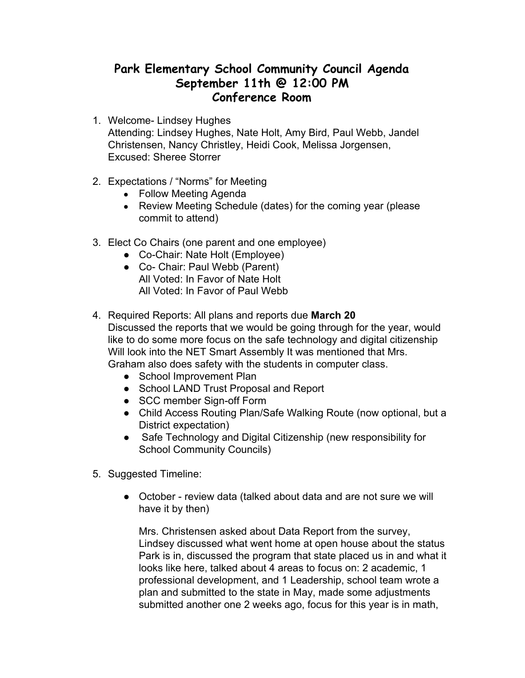## **Park Elementary School Community Council Agenda September 11th @ 12:00 PM Conference Room**

- 1. Welcome- Lindsey Hughes Attending: Lindsey Hughes, Nate Holt, Amy Bird, Paul Webb, Jandel Christensen, Nancy Christley, Heidi Cook, Melissa Jorgensen, Excused: Sheree Storrer
- 2. Expectations / "Norms" for Meeting
	- Follow Meeting Agenda
	- Review Meeting Schedule (dates) for the coming year (please commit to attend)
- 3. Elect Co Chairs (one parent and one employee)
	- Co-Chair: Nate Holt (Employee)
	- Co- Chair: Paul Webb (Parent) All Voted: In Favor of Nate Holt All Voted: In Favor of Paul Webb
- 4. Required Reports: All plans and reports due **March 20** Discussed the reports that we would be going through for the year, would like to do some more focus on the safe technology and digital citizenship Will look into the NET Smart Assembly It was mentioned that Mrs. Graham also does safety with the students in computer class.
	- **●** School Improvement Plan
	- **●** School LAND Trust Proposal and Report
	- **●** SCC member Sign-off Form
	- **●** Child Access Routing Plan/Safe Walking Route (now optional, but a District expectation)
	- **●** Safe Technology and Digital Citizenship (new responsibility for School Community Councils)
- 5. Suggested Timeline:
	- October review data (talked about data and are not sure we will have it by then)

Mrs. Christensen asked about Data Report from the survey, Lindsey discussed what went home at open house about the status Park is in, discussed the program that state placed us in and what it looks like here, talked about 4 areas to focus on: 2 academic, 1 professional development, and 1 Leadership, school team wrote a plan and submitted to the state in May, made some adjustments submitted another one 2 weeks ago, focus for this year is in math,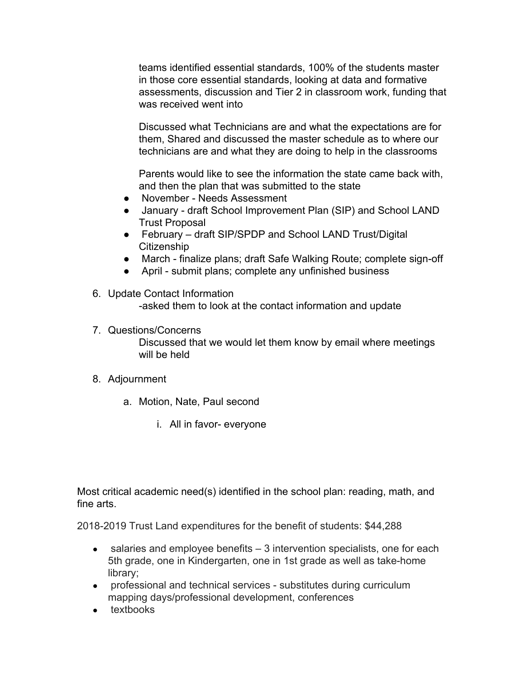teams identified essential standards, 100% of the students master in those core essential standards, looking at data and formative assessments, discussion and Tier 2 in classroom work, funding that was received went into

Discussed what Technicians are and what the expectations are for them, Shared and discussed the master schedule as to where our technicians are and what they are doing to help in the classrooms

Parents would like to see the information the state came back with, and then the plan that was submitted to the state

- November Needs Assessment
- January draft School Improvement Plan (SIP) and School LAND Trust Proposal
- February draft SIP/SPDP and School LAND Trust/Digital Citizenship
- March finalize plans; draft Safe Walking Route; complete sign-off
- April submit plans; complete any unfinished business
- 6. Update Contact Information -asked them to look at the contact information and update
- 7. Questions/Concerns Discussed that we would let them know by email where meetings will be held
- 8. Adjournment
	- a. Motion, Nate, Paul second
		- i. All in favor- everyone

Most critical academic need(s) identified in the school plan: reading, math, and fine arts.

2018-2019 Trust Land expenditures for the benefit of students: \$44,288

- $\bullet$  salaries and employee benefits  $-3$  intervention specialists, one for each 5th grade, one in Kindergarten, one in 1st grade as well as take-home library;
- professional and technical services substitutes during curriculum mapping days/professional development, conferences
- textbooks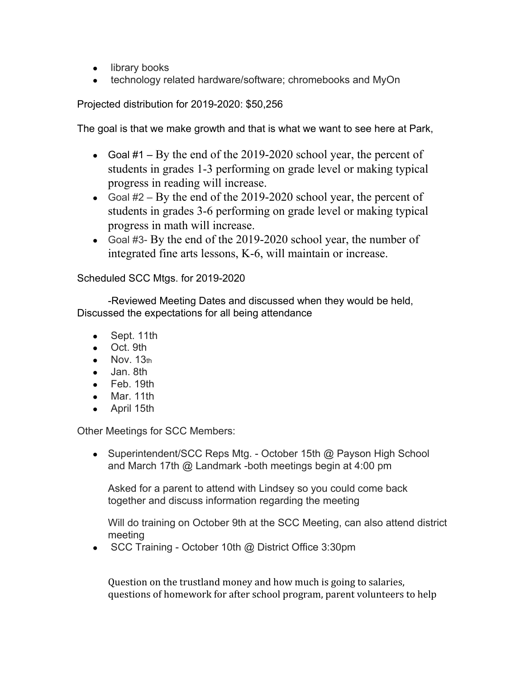- library books
- technology related hardware/software; chromebooks and MyOn

Projected distribution for 2019-2020: \$50,256

The goal is that we make growth and that is what we want to see here at Park,

- Goal #1 By the end of the 2019-2020 school year, the percent of students in grades 1-3 performing on grade level or making typical progress in reading will increase.
- Goal #2 By the end of the 2019-2020 school year, the percent of students in grades 3-6 performing on grade level or making typical progress in math will increase.
- Goal #3- By the end of the  $2019-2020$  school year, the number of integrated fine arts lessons, K-6, will maintain or increase.

Scheduled SCC Mtgs. for 2019-2020

-Reviewed Meeting Dates and discussed when they would be held, Discussed the expectations for all being attendance

- Sept. 11th
- Oct. 9th
- $\bullet$  Nov. 13th
- Jan. 8th
- Feb. 19th
- Mar. 11th
- April 15th

Other Meetings for SCC Members:

• Superintendent/SCC Reps Mtg. - October 15th @ Payson High School and March 17th @ Landmark -both meetings begin at 4:00 pm

Asked for a parent to attend with Lindsey so you could come back together and discuss information regarding the meeting

Will do training on October 9th at the SCC Meeting, can also attend district meeting

● SCC Training - October 10th @ District Office 3:30pm

Question on the trustland money and how much is going to salaries, questions of homework for after school program, parent volunteers to help